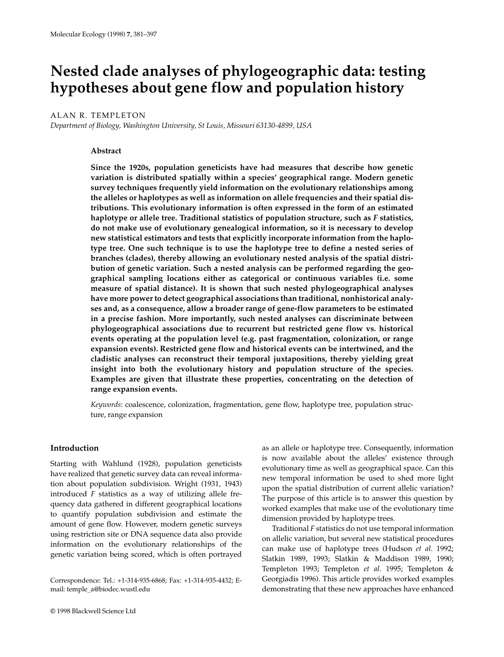# **Nested clade analyses of phylogeographic data: testing hypotheses about gene flow and population history**

### ALAN R. TEMPLETON

*Department of Biology, Washington University, St Louis, Missouri 63130-4899, USA*

#### **Abstract**

**Since the 1920s, population geneticists have had measures that describe how genetic variation is distributed spatially within a species' geographical range. Modern genetic survey techniques frequently yield information on the evolutionary relationships among the alleles or haplotypes as well as information on allele frequencies and their spatial distributions. This evolutionary information is often expressed in the form of an estimated haplotype or allele tree. Traditional statistics of population structure, such as** *F* **statistics, do not make use of evolutionary genealogical information, so it is necessary to develop new statistical estimators and tests that explicitly incorporate information from the haplotype tree. One such technique is to use the haplotype tree to define a nested series of branches (clades), thereby allowing an evolutionary nested analysis of the spatial distribution of genetic variation. Such a nested analysis can be performed regarding the geographical sampling locations either as categorical or continuous variables (i.e. some measure of spatial distance). It is shown that such nested phylogeographical analyses have more power to detect geographical associations than traditional, nonhistorical analyses and, as a consequence, allow a broader range of gene-flow parameters to be estimated in a precise fashion. More importantly, such nested analyses can discriminate between phylogeographical associations due to recurrent but restricted gene flow vs. historical events operating at the population level (e.g. past fragmentation, colonization, or range expansion events). Restricted gene flow and historical events can be intertwined, and the cladistic analyses can reconstruct their temporal juxtapositions, thereby yielding great insight into both the evolutionary history and population structure of the species. Examples are given that illustrate these properties, concentrating on the detection of range expansion events.**

*Keywords*: coalescence, colonization, fragmentation, gene flow, haplotype tree, population structure, range expansion

#### **Introduction**

Starting with Wahlund (1928), population geneticists have realized that genetic survey data can reveal information about population subdivision. Wright (1931, 1943) introduced *F* statistics as a way of utilizing allele frequency data gathered in different geographical locations to quantify population subdivision and estimate the amount of gene flow. However, modern genetic surveys using restriction site or DNA sequence data also provide information on the evolutionary relationships of the genetic variation being scored, which is often portrayed

Correspondence: Tel.: +1-314-935-6868; Fax: +1-314-935-4432; Email: temple\_a@biodec.wustl.edu

© 1998 Blackwell Science Ltd

as an allele or haplotype tree. Consequently, information is now available about the alleles' existence through evolutionary time as well as geographical space. Can this new temporal information be used to shed more light upon the spatial distribution of current allelic variation? The purpose of this article is to answer this question by worked examples that make use of the evolutionary time dimension provided by haplotype trees.

Traditional *F* statistics do not use temporal information on allelic variation, but several new statistical procedures can make use of haplotype trees (Hudson *et al*. 1992; Slatkin 1989, 1993; Slatkin & Maddison 1989, 1990; Templeton 1993; Templeton *et al*. 1995; Templeton & Georgiadis 1996). This article provides worked examples demonstrating that these new approaches have enhanced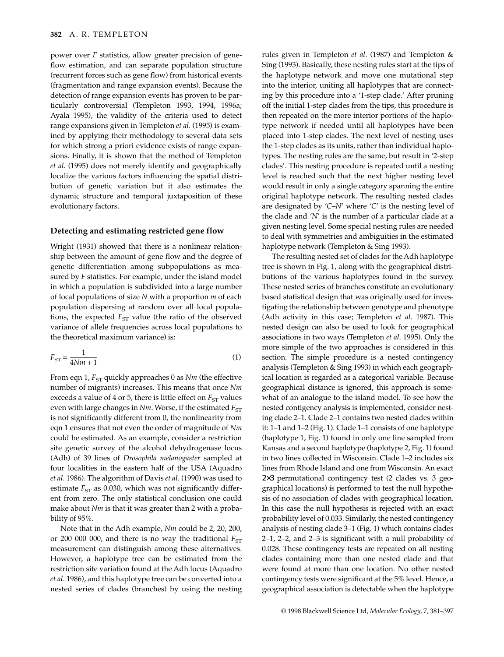power over *F* statistics, allow greater precision of geneflow estimation, and can separate population structure (recurrent forces such as gene flow) from historical events (fragmentation and range expansion events). Because the detection of range expansion events has proven to be particularly controversial (Templeton 1993, 1994, 1996a; Ayala 1995), the validity of the criteria used to detect range expansions given in Templeton *et al*. (1995) is examined by applying their methodology to several data sets for which strong a priori evidence exists of range expansions. Finally, it is shown that the method of Templeton *et al*. (1995) does not merely identify and geographically localize the various factors influencing the spatial distribution of genetic variation but it also estimates the dynamic structure and temporal juxtaposition of these evolutionary factors.

#### **Detecting and estimating restricted gene flow**

Wright (1931) showed that there is a nonlinear relationship between the amount of gene flow and the degree of genetic differentiation among subpopulations as measured by *F* statistics. For example, under the island model in which a population is subdivided into a large number of local populations of size *N* with a proportion *m* of each population dispersing at random over all local populations, the expected  $F_{ST}$  value (the ratio of the observed variance of allele frequencies across local populations to the theoretical maximum variance) is:

$$
F_{ST} = \frac{1}{4Nm + 1} \tag{1}
$$

From eqn 1,  $F_{ST}$  quickly approaches 0 as *Nm* (the effective number of migrants) increases. This means that once *Nm* exceeds a value of 4 or 5, there is little effect on  $F_{ST}$  values even with large changes in  $Nm$ . Worse, if the estimated  $F_{ST}$ is not significantly different from 0, the nonlinearity from eqn 1 ensures that not even the order of magnitude of *Nm* could be estimated. As an example, consider a restriction site genetic survey of the alcohol dehydrogenase locus (Adh) of 39 lines of *Drosophila melanogaster* sampled at four localities in the eastern half of the USA (Aquadro *et al*. 1986). The algorithm of Davis *et al*. (1990) was used to estimate  $F_{ST}$  as 0.030, which was not significantly different from zero. The only statistical conclusion one could make about *Nm* is that it was greater than 2 with a probability of 95%.

Note that in the Adh example, *Nm* could be 2, 20, 200, or 200 000 000, and there is no way the traditional  $F_{ST}$ measurement can distinguish among these alternatives. However, a haplotype tree can be estimated from the restriction site variation found at the Adh locus (Aquadro *et al*. 1986), and this haplotype tree can be converted into a nested series of clades (branches) by using the nesting rules given in Templeton *et al*. (1987) and Templeton & Sing (1993). Basically, these nesting rules start at the tips of the haplotype network and move one mutational step into the interior, uniting all haplotypes that are connecting by this procedure into a '1-step clade.' After pruning off the initial 1-step clades from the tips, this procedure is then repeated on the more interior portions of the haplotype network if needed until all haplotypes have been placed into 1-step clades. The next level of nesting uses the 1-step clades as its units, rather than individual haplotypes. The nesting rules are the same, but result in '2-step clades'. This nesting procedure is repeated until a nesting level is reached such that the next higher nesting level would result in only a single category spanning the entire original haplotype network. The resulting nested clades are designated by '*C*–*N*' where '*C*' is the nesting level of the clade and '*N*' is the number of a particular clade at a given nesting level. Some special nesting rules are needed to deal with symmetries and ambiguities in the estimated haplotype network (Templeton & Sing 1993).

The resulting nested set of clades for the Adh haplotype tree is shown in Fig. 1, along with the geographical distributions of the various haplotypes found in the survey. These nested series of branches constitute an evolutionary based statistical design that was originally used for investigating the relationship between genotype and phenotype (Adh activity in this case; Templeton *et al*. 1987). This nested design can also be used to look for geographical associations in two ways (Templeton *et al*. 1995). Only the more simple of the two approaches is considered in this section. The simple procedure is a nested contingency analysis (Templeton & Sing 1993) in which each geographical location is regarded as a categorical variable. Because geographical distance is ignored, this approach is somewhat of an analogue to the island model. To see how the nested contigency analysis is implemented, consider nesting clade 2–1. Clade 2–1 contains two nested clades within it: 1–1 and 1–2 (Fig. 1). Clade 1–1 consists of one haplotype (haplotype 1, Fig. 1) found in only one line sampled from Kansas and a second haplotype (haplotype 2, Fig. 1) found in two lines collected in Wisconsin. Clade 1–2 includes six lines from Rhode Island and one from Wisconsin. An exact 2×3 permutational contingency test (2 clades vs. 3 geographical locations) is performed to test the null hypothesis of no association of clades with geographical location. In this case the null hypothesis is rejected with an exact probability level of 0.033. Similarly, the nested contingency analysis of nesting clade 3–1 (Fig. 1) which contains clades 2–1, 2–2, and 2–3 is significant with a null probability of 0.028. These contingency tests are repeated on all nesting clades containing more than one nested clade and that were found at more than one location. No other nested contingency tests were significant at the 5% level. Hence, a geographical association is detectable when the haplotype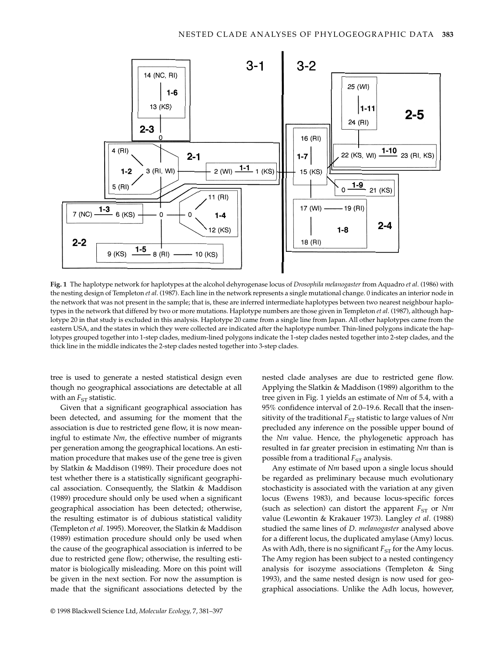

**Fig. 1** The haplotype network for haplotypes at the alcohol dehyrogenase locus of *Drosophila melanogaster* from Aquadro *et al*. (1986) with the nesting design of Templeton *et al*. (1987). Each line in the network represents a single mutational change. 0 indicates an interior node in the network that was not present in the sample; that is, these are inferred intermediate haplotypes between two nearest neighbour haplotypes in the network that differed by two or more mutations. Haplotype numbers are those given in Templeton *et al*. (1987), although haplotype 20 in that study is excluded in this analysis. Haplotype 20 came from a single line from Japan. All other haplotypes came from the eastern USA, and the states in which they were collected are indicated after the haplotype number. Thin-lined polygons indicate the haplotypes grouped together into 1-step clades, medium-lined polygons indicate the 1-step clades nested together into 2-step clades, and the thick line in the middle indicates the 2-step clades nested together into 3-step clades.

tree is used to generate a nested statistical design even though no geographical associations are detectable at all with an  $F_{ST}$  statistic.

Given that a significant geographical association has been detected, and assuming for the moment that the association is due to restricted gene flow, it is now meaningful to estimate *Nm*, the effective number of migrants per generation among the geographical locations. An estimation procedure that makes use of the gene tree is given by Slatkin & Maddison (1989). Their procedure does not test whether there is a statistically significant geographical association. Consequently, the Slatkin & Maddison (1989) procedure should only be used when a significant geographical association has been detected; otherwise, the resulting estimator is of dubious statistical validity (Templeton *et al*. 1995). Moreover, the Slatkin & Maddison (1989) estimation procedure should only be used when the cause of the geographical association is inferred to be due to restricted gene flow; otherwise, the resulting estimator is biologically misleading. More on this point will be given in the next section. For now the assumption is made that the significant associations detected by the nested clade analyses are due to restricted gene flow. Applying the Slatkin & Maddison (1989) algorithm to the tree given in Fig. 1 yields an estimate of *Nm* of 5.4, with a 95% confidence interval of 2.0–19.6. Recall that the insensitivity of the traditional  $F_{ST}$  statistic to large values of *Nm* precluded any inference on the possible upper bound of the *Nm* value. Hence, the phylogenetic approach has resulted in far greater precision in estimating *Nm* than is possible from a traditional  $F_{ST}$  analysis.

Any estimate of *Nm* based upon a single locus should be regarded as preliminary because much evolutionary stochasticity is associated with the variation at any given locus (Ewens 1983), and because locus-specific forces (such as selection) can distort the apparent  $F_{ST}$  or  $Nm$ value (Lewontin & Krakauer 1973). Langley *et al*. (1988) studied the same lines of *D. melanogaster* analysed above for a different locus, the duplicated amylase (Amy) locus. As with Adh, there is no significant  $F_{ST}$  for the Amy locus. The Amy region has been subject to a nested contingency analysis for isozyme associations (Templeton & Sing 1993), and the same nested design is now used for geographical associations. Unlike the Adh locus, however,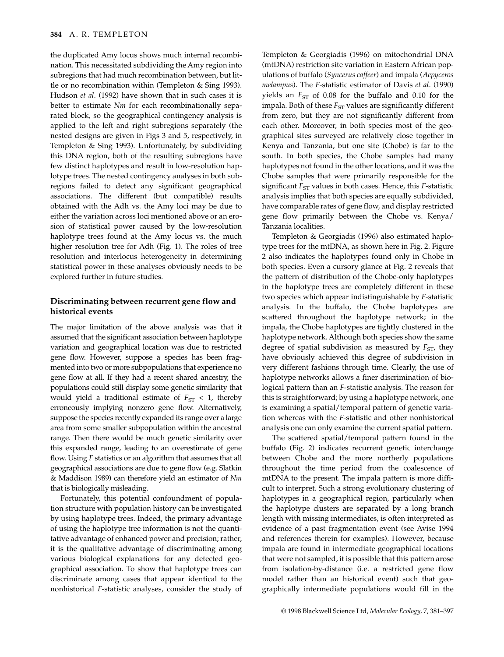the duplicated Amy locus shows much internal recombination. This necessitated subdividing the Amy region into subregions that had much recombination between, but little or no recombination within (Templeton & Sing 1993). Hudson *et al*. (1992) have shown that in such cases it is better to estimate *Nm* for each recombinationally separated block, so the geographical contingency analysis is applied to the left and right subregions separately (the nested designs are given in Figs 3 and 5, respectively, in Templeton & Sing 1993). Unfortunately, by subdividing this DNA region, both of the resulting subregions have few distinct haplotypes and result in low-resolution haplotype trees. The nested contingency analyses in both subregions failed to detect any significant geographical associations. The different (but compatible) results obtained with the Adh vs. the Amy loci may be due to either the variation across loci mentioned above or an erosion of statistical power caused by the low-resolution haplotype trees found at the Amy locus vs. the much higher resolution tree for Adh (Fig. 1). The roles of tree resolution and interlocus heterogeneity in determining statistical power in these analyses obviously needs to be explored further in future studies.

## **Discriminating between recurrent gene flow and historical events**

The major limitation of the above analysis was that it assumed that the significant association between haplotype variation and geographical location was due to restricted gene flow. However, suppose a species has been fragmented into two or more subpopulations that experience no gene flow at all. If they had a recent shared ancestry, the populations could still display some genetic similarity that would yield a traditional estimate of  $F_{ST}$  < 1, thereby erroneously implying nonzero gene flow. Alternatively, suppose the species recently expanded its range over a large area from some smaller subpopulation within the ancestral range. Then there would be much genetic similarity over this expanded range, leading to an overestimate of gene flow. Using *F* statistics or an algorithm that assumes that all geographical associations are due to gene flow (e.g. Slatkin & Maddison 1989) can therefore yield an estimator of *Nm* that is biologically misleading.

Fortunately, this potential confoundment of population structure with population history can be investigated by using haplotype trees. Indeed, the primary advantage of using the haplotype tree information is not the quantitative advantage of enhanced power and precision; rather, it is the qualitative advantage of discriminating among various biological explanations for any detected geographical association. To show that haplotype trees can discriminate among cases that appear identical to the nonhistorical *F*-statistic analyses, consider the study of

Templeton & Georgiadis (1996) on mitochondrial DNA (mtDNA) restriction site variation in Eastern African populations of buffalo (*Syncerus caffeer*) and impala (*Aepyceros melampus*). The *F*-statistic estimator of Davis *et al*. (1990) yields an  $F_{ST}$  of 0.08 for the buffalo and 0.10 for the impala. Both of these  $F_{ST}$  values are significantly different from zero, but they are not significantly different from each other. Moreover, in both species most of the geographical sites surveyed are relatively close together in Kenya and Tanzania, but one site (Chobe) is far to the south. In both species, the Chobe samples had many haplotypes not found in the other locations, and it was the Chobe samples that were primarily responsible for the significant  $F_{ST}$  values in both cases. Hence, this  $F$ -statistic analysis implies that both species are equally subdivided, have comparable rates of gene flow, and display restricted gene flow primarily between the Chobe vs. Kenya/ Tanzania localities.

Templeton & Georgiadis (1996) also estimated haplotype trees for the mtDNA, as shown here in Fig. 2. Figure 2 also indicates the haplotypes found only in Chobe in both species. Even a cursory glance at Fig. 2 reveals that the pattern of distribution of the Chobe-only haplotypes in the haplotype trees are completely different in these two species which appear indistinguishable by *F*-statistic analysis. In the buffalo, the Chobe haplotypes are scattered throughout the haplotype network; in the impala, the Chobe haplotypes are tightly clustered in the haplotype network. Although both species show the same degree of spatial subdivision as measured by  $F_{ST}$ , they have obviously achieved this degree of subdivision in very different fashions through time. Clearly, the use of haplotype networks allows a finer discrimination of biological pattern than an *F*-statistic analysis. The reason for this is straightforward; by using a haplotype network, one is examining a spatial/temporal pattern of genetic variation whereas with the *F*-statistic and other nonhistorical analysis one can only examine the current spatial pattern.

The scattered spatial/temporal pattern found in the buffalo (Fig. 2) indicates recurrent genetic interchange between Chobe and the more northerly populations throughout the time period from the coalescence of mtDNA to the present. The impala pattern is more difficult to interpret. Such a strong evolutionary clustering of haplotypes in a geographical region, particularly when the haplotype clusters are separated by a long branch length with missing intermediates, is often interpreted as evidence of a past fragmentation event (see Avise 1994 and references therein for examples). However, because impala are found in intermediate geographical locations that were not sampled, it is possible that this pattern arose from isolation-by-distance (i.e. a restricted gene flow model rather than an historical event) such that geographically intermediate populations would fill in the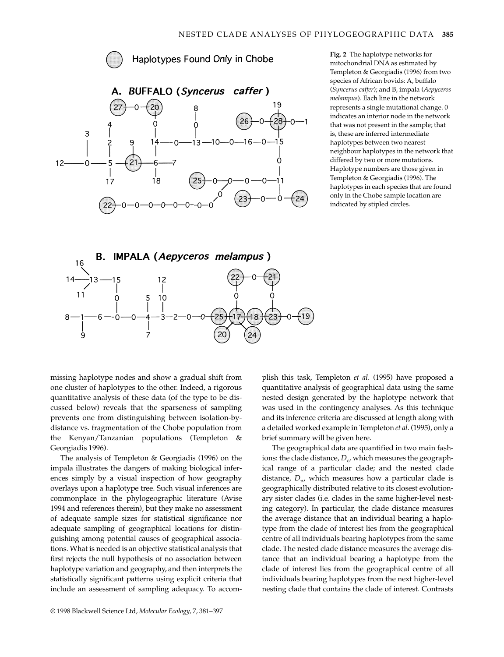

**Fig. 2** The haplotype networks for mitochondrial DNA as estimated by Templeton & Georgiadis (1996) from two species of African bovids: A, buffalo (*Syncerus caffer*); and B, impala (*Aepyceros melampus*). Each line in the network represents a single mutational change. 0 indicates an interior node in the network that was not present in the sample; that is, these are inferred intermediate haplotypes between two nearest neighbour haplotypes in the network that differed by two or more mutations. Haplotype numbers are those given in Templeton & Georgiadis (1996). The haplotypes in each species that are found only in the Chobe sample location are indicated by stipled circles.



missing haplotype nodes and show a gradual shift from one cluster of haplotypes to the other. Indeed, a rigorous quantitative analysis of these data (of the type to be discussed below) reveals that the sparseness of sampling prevents one from distinguishing between isolation-bydistance vs. fragmentation of the Chobe population from the Kenyan/Tanzanian populations (Templeton & Georgiadis 1996).

The analysis of Templeton & Georgiadis (1996) on the impala illustrates the dangers of making biological inferences simply by a visual inspection of how geography overlays upon a haplotype tree. Such visual inferences are commonplace in the phylogeographic literature (Avise 1994 and references therein), but they make no assessment of adequate sample sizes for statistical significance nor adequate sampling of geographical locations for distinguishing among potential causes of geographical associations. What is needed is an objective statistical analysis that first rejects the null hypothesis of no association between haplotype variation and geography, and then interprets the statistically significant patterns using explicit criteria that include an assessment of sampling adequacy. To accom-

© 1998 Blackwell Science Ltd, *Molecular Ecology,* 7, 381–397

plish this task, Templeton *et al*. (1995) have proposed a quantitative analysis of geographical data using the same nested design generated by the haplotype network that was used in the contingency analyses. As this technique and its inference criteria are discussed at length along with a detailed worked example in Templeton *et al*. (1995), only a brief summary will be given here.

The geographical data are quantified in two main fashions: the clade distance,  $D_c$ , which measures the geographical range of a particular clade; and the nested clade distance,  $D_{\text{nv}}$  which measures how a particular clade is geographically distributed relative to its closest evolutionary sister clades (i.e. clades in the same higher-level nesting category). In particular, the clade distance measures the average distance that an individual bearing a haplotype from the clade of interest lies from the geographical centre of all individuals bearing haplotypes from the same clade. The nested clade distance measures the average distance that an individual bearing a haplotype from the clade of interest lies from the geographical centre of all individuals bearing haplotypes from the next higher-level nesting clade that contains the clade of interest. Contrasts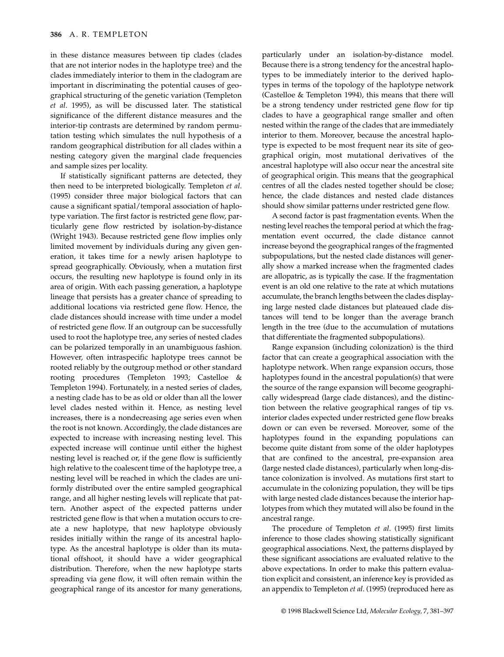in these distance measures between tip clades (clades that are not interior nodes in the haplotype tree) and the clades immediately interior to them in the cladogram are important in discriminating the potential causes of geographical structuring of the genetic variation (Templeton *et al*. 1995), as will be discussed later. The statistical significance of the different distance measures and the interior-tip contrasts are determined by random permutation testing which simulates the null hypothesis of a random geographical distribution for all clades within a nesting category given the marginal clade frequencies and sample sizes per locality.

If statistically significant patterns are detected, they then need to be interpreted biologically. Templeton *et al*. (1995) consider three major biological factors that can cause a significant spatial/temporal association of haplotype variation. The first factor is restricted gene flow, particularly gene flow restricted by isolation-by-distance (Wright 1943). Because restricted gene flow implies only limited movement by individuals during any given generation, it takes time for a newly arisen haplotype to spread geographically. Obviously, when a mutation first occurs, the resulting new haplotype is found only in its area of origin. With each passing generation, a haplotype lineage that persists has a greater chance of spreading to additional locations via restricted gene flow. Hence, the clade distances should increase with time under a model of restricted gene flow. If an outgroup can be successfully used to root the haplotype tree, any series of nested clades can be polarized temporally in an unambiguous fashion. However, often intraspecific haplotype trees cannot be rooted reliably by the outgroup method or other standard rooting procedures (Templeton 1993; Castelloe & Templeton 1994). Fortunately, in a nested series of clades, a nesting clade has to be as old or older than all the lower level clades nested within it. Hence, as nesting level increases, there is a nondecreasing age series even when the root is not known. Accordingly, the clade distances are expected to increase with increasing nesting level. This expected increase will continue until either the highest nesting level is reached or, if the gene flow is sufficiently high relative to the coalescent time of the haplotype tree, a nesting level will be reached in which the clades are uniformly distributed over the entire sampled geographical range, and all higher nesting levels will replicate that pattern. Another aspect of the expected patterns under restricted gene flow is that when a mutation occurs to create a new haplotype, that new haplotype obviously resides initially within the range of its ancestral haplotype. As the ancestral haplotype is older than its mutational offshoot, it should have a wider geographical distribution. Therefore, when the new haplotype starts spreading via gene flow, it will often remain within the geographical range of its ancestor for many generations,

particularly under an isolation-by-distance model. Because there is a strong tendency for the ancestral haplotypes to be immediately interior to the derived haplotypes in terms of the topology of the haplotype network (Castelloe & Templeton 1994), this means that there will be a strong tendency under restricted gene flow for tip clades to have a geographical range smaller and often nested within the range of the clades that are immediately interior to them. Moreover, because the ancestral haplotype is expected to be most frequent near its site of geographical origin, most mutational derivatives of the ancestral haplotype will also occur near the ancestral site of geographical origin. This means that the geographical centres of all the clades nested together should be close; hence, the clade distances and nested clade distances should show similar patterns under restricted gene flow.

A second factor is past fragmentation events. When the nesting level reaches the temporal period at which the fragmentation event occurred, the clade distance cannot increase beyond the geographical ranges of the fragmented subpopulations, but the nested clade distances will generally show a marked increase when the fragmented clades are allopatric, as is typically the case. If the fragmentation event is an old one relative to the rate at which mutations accumulate, the branch lengths between the clades displaying large nested clade distances but plateaued clade distances will tend to be longer than the average branch length in the tree (due to the accumulation of mutations that differentiate the fragmented subpopulations).

Range expansion (including colonization) is the third factor that can create a geographical association with the haplotype network. When range expansion occurs, those haplotypes found in the ancestral population(s) that were the source of the range expansion will become geographically widespread (large clade distances), and the distinction between the relative geographical ranges of tip vs. interior clades expected under restricted gene flow breaks down or can even be reversed. Moreover, some of the haplotypes found in the expanding populations can become quite distant from some of the older haplotypes that are confined to the ancestral, pre-expansion area (large nested clade distances), particularly when long-distance colonization is involved. As mutations first start to accumulate in the colonizing population, they will be tips with large nested clade distances because the interior haplotypes from which they mutated will also be found in the ancestral range.

The procedure of Templeton *et al*. (1995) first limits inference to those clades showing statistically significant geographical associations. Next, the patterns displayed by these significant associations are evaluated relative to the above expectations. In order to make this pattern evaluation explicit and consistent, an inference key is provided as an appendix to Templeton *et al*. (1995) (reproduced here as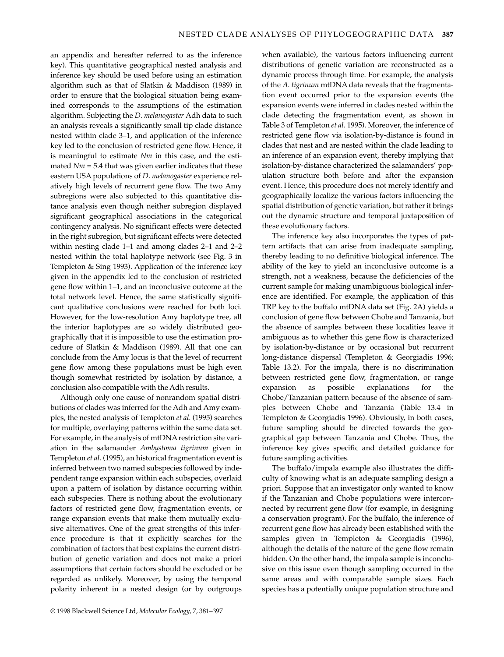an appendix and hereafter referred to as the inference key). This quantitative geographical nested analysis and inference key should be used before using an estimation algorithm such as that of Slatkin & Maddison (1989) in order to ensure that the biological situation being examined corresponds to the assumptions of the estimation algorithm. Subjecting the *D. melanogaster* Adh data to such an analysis reveals a significantly small tip clade distance nested within clade 3–1, and application of the inference key led to the conclusion of restricted gene flow. Hence, it is meaningful to estimate *Nm* in this case, and the estimated  $Nm = 5.4$  that was given earlier indicates that these eastern USA populations of *D. melanogaster* experience relatively high levels of recurrent gene flow. The two Amy subregions were also subjected to this quantitative distance analysis even though neither subregion displayed significant geographical associations in the categorical contingency analysis. No significant effects were detected in the right subregion, but significant effects were detected within nesting clade 1–1 and among clades 2–1 and 2–2 nested within the total haplotype network (see Fig. 3 in Templeton & Sing 1993). Application of the inference key given in the appendix led to the conclusion of restricted gene flow within 1–1, and an inconclusive outcome at the total network level. Hence, the same statistically significant qualitative conclusions were reached for both loci. However, for the low-resolution Amy haplotype tree, all the interior haplotypes are so widely distributed geographically that it is impossible to use the estimation procedure of Slatkin & Maddison (1989). All that one can conclude from the Amy locus is that the level of recurrent gene flow among these populations must be high even though somewhat restricted by isolation by distance, a conclusion also compatible with the Adh results.

Although only one cause of nonrandom spatial distributions of clades was inferred for the Adh and Amy examples, the nested analysis of Templeton *et al*. (1995) searches for multiple, overlaying patterns within the same data set. For example, in the analysis of mtDNA restriction site variation in the salamander *Ambystoma tigrinum* given in Templeton *et al*. (1995), an historical fragmentation event is inferred between two named subspecies followed by independent range expansion within each subspecies, overlaid upon a pattern of isolation by distance occurring within each subspecies. There is nothing about the evolutionary factors of restricted gene flow, fragmentation events, or range expansion events that make them mutually exclusive alternatives. One of the great strengths of this inference procedure is that it explicitly searches for the combination of factors that best explains the current distribution of genetic variation and does not make a priori assumptions that certain factors should be excluded or be regarded as unlikely. Moreover, by using the temporal polarity inherent in a nested design (or by outgroups

when available), the various factors influencing current distributions of genetic variation are reconstructed as a dynamic process through time. For example, the analysis of the *A*. *tigrinum* mtDNA data reveals that the fragmentation event occurred prior to the expansion events (the expansion events were inferred in clades nested within the clade detecting the fragmentation event, as shown in Table 3 of Templeton *et al*. 1995). Moreover, the inference of restricted gene flow via isolation-by-distance is found in clades that nest and are nested within the clade leading to an inference of an expansion event, thereby implying that isolation-by-distance characterized the salamanders' population structure both before and after the expansion event. Hence, this procedure does not merely identify and geographically localize the various factors influencing the spatial distribution of genetic variation, but rather it brings out the dynamic structure and temporal juxtaposition of these evolutionary factors.

The inference key also incorporates the types of pattern artifacts that can arise from inadequate sampling, thereby leading to no definitive biological inference. The ability of the key to yield an inconclusive outcome is a strength, not a weakness, because the deficiencies of the current sample for making unambiguous biological inference are identified. For example, the application of this TRP key to the buffalo mtDNA data set (Fig. 2A) yields a conclusion of gene flow between Chobe and Tanzania, but the absence of samples between these localities leave it ambiguous as to whether this gene flow is characterized by isolation-by-distance or by occasional but recurrent long-distance dispersal (Templeton & Georgiadis 1996; Table 13.2). For the impala, there is no discrimination between restricted gene flow, fragmentation, or range expansion as possible explanations for the Chobe/Tanzanian pattern because of the absence of samples between Chobe and Tanzania (Table 13.4 in Templeton & Georgiadis 1996). Obviously, in both cases, future sampling should be directed towards the geographical gap between Tanzania and Chobe. Thus, the inference key gives specific and detailed guidance for future sampling activities.

The buffalo/impala example also illustrates the difficulty of knowing what is an adequate sampling design a priori. Suppose that an investigator only wanted to know if the Tanzanian and Chobe populations were interconnected by recurrent gene flow (for example, in designing a conservation program). For the buffalo, the inference of recurrent gene flow has already been established with the samples given in Templeton & Georgiadis (1996), although the details of the nature of the gene flow remain hidden. On the other hand, the impala sample is inconclusive on this issue even though sampling occurred in the same areas and with comparable sample sizes. Each species has a potentially unique population structure and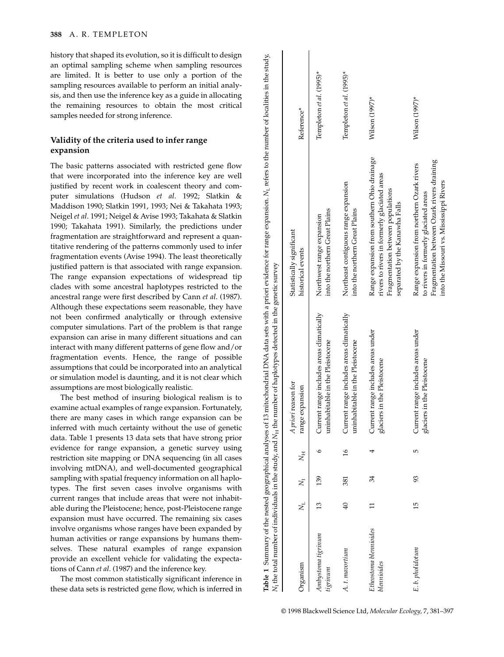history that shaped its evolution, so it is difficult to design an optimal sampling scheme when sampling resources are limited. It is better to use only a portion of the sampling resources available to perform an initial analysis, and then use the inference key as a guide in allocating the remaining resources to obtain the most critical samples needed for strong inference.

## **Validity of the criteria used to infer range expansion**

The basic patterns associated with restricted gene flow that were incorporated into the inference key are well justified by recent work in coalescent theory and computer simulations (Hudson *et al*. 1992; Slatkin & Maddison 1990; Slatkin 1991, 1993; Nei & Takahata 1993; Neigel *et al*. 1991; Neigel & Avise 1993; Takahata & Slatkin 1990; Takahata 1991). Similarly, the predictions under fragmentation are straightforward and represent a quantitative rendering of the patterns commonly used to infer fragmentation events (Avise 1994). The least theoretically justified pattern is that associated with range expansion. The range expansion expectations of widespread tip clades with some ancestral haplotypes restricted to the ancestral range were first described by Cann *et al*. (1987). Although these expectations seem reasonable, they have not been confirmed analytically or through extensive computer simulations. Part of the problem is that range expansion can arise in many different situations and can interact with many different patterns of gene flow and/or fragmentation events. Hence, the range of possible assumptions that could be incorporated into an analytical or simulation model is daunting, and it is not clear which assumptions are most biologically realistic.

The best method of insuring biological realism is to examine actual examples of range expansion. Fortunately, there are many cases in which range expansion can be inferred with much certainty without the use of genetic data. Table 1 presents 13 data sets that have strong prior evidence for range expansion, a genetic survey using restriction site mapping or DNA sequencing (in all cases involving mtDNA), and well-documented geographical sampling with spatial frequency information on all haplotypes. The first seven cases involve organisms with current ranges that include areas that were not inhabitable during the Pleistocene; hence, post-Pleistocene range expansion must have occurred. The remaining six cases involve organisms whose ranges have been expanded by human activities or range expansions by humans themselves. These natural examples of range expansion provide an excellent vehicle for validating the expectations of Cann *et al*. (1987) and the inference key.

The most common statistically significant inference in these data sets is restricted gene flow, which is inferred in

|                                       |                        |     |                   | $N_1$ the total number of individuals in the study, and $N_{\rm H}$ the number of haplotypes detected in the genetic survey |                                                                                                                                                                                |                          |
|---------------------------------------|------------------------|-----|-------------------|-----------------------------------------------------------------------------------------------------------------------------|--------------------------------------------------------------------------------------------------------------------------------------------------------------------------------|--------------------------|
| hrganism                              | $\overline{X}_{\rm L}$ | Ż   | $\bar{N}_{\rm H}$ | A <i>priori</i> reason for<br>range expansion                                                                               | Statistically significant<br>historical events                                                                                                                                 | Reference*               |
| Ambystoma tigrinum<br>tigrinum        |                        | 139 |                   | Current range includes areas climatically<br>uninhabitable in the Pleistocene                                               | into the northern Great Plains<br>Northwest range expansion                                                                                                                    | Templeton et al. (1995)* |
| A.t. mavortium                        | $\overline{40}$        | 381 |                   | Current range includes areas climatically<br>uninhabitable in the Pleistocene                                               | Northeast contiguous range expansion<br>into the northern Great Plains                                                                                                         | Templeton et al. (1995)* |
| Etheostoma blennioides<br>blennioides |                        | 34  |                   | Current range includes areas under<br>glaciers in the Pleistocene                                                           | Range expansion from southern Ohio drainage<br>rivers to rivers in formerly glaciated areas<br>Fragmentation between populations<br>separated by the Kanawha Falls             | Wilson (1997)*           |
| E. b. pholidotum                      | 15                     | 93  | 5                 | Current range includes areas under<br>glaciers in the Pleistocene                                                           | Fragmentation between Ozark rivers draining<br>Range expansion from northern Ozark rivers<br>into the Missouri vs. Mississippi Rivers<br>to rivers in formerly glaciated areas | Wilson (1997)*           |

**Table 1** Summary of the nested geographical analyses of 13 mitochondrial DNA data sets with a priori evidence for range expansion.

Summary of the nested

Table 1

geographical analyses of 13 mitochondrial DNA data sets with a priori evidence for range expansion. N<sub>L</sub> refers to the number of localities in the study,

 $N_{\rm L}$  refers to the number of localities in the study,

 $\mathbf{I}$ 

 $\overline{1}$ 

© 1998 Blackwell Science Ltd, *Molecular Ecology,* 7, 381–397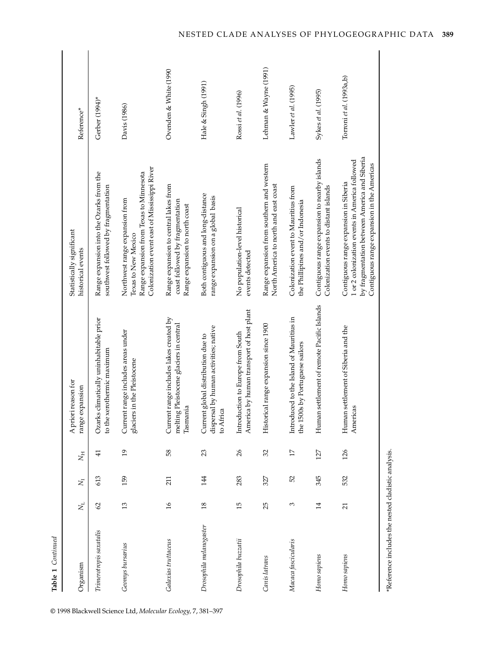| Organism                | $N_{\rm L}$     | $\rm N_I$ | $N_{\rm H}$    | priori reason for<br>range expansion<br>∢                                                      | Statistically significant<br>historical events                                                                                                                                        | Reference*               |
|-------------------------|-----------------|-----------|----------------|------------------------------------------------------------------------------------------------|---------------------------------------------------------------------------------------------------------------------------------------------------------------------------------------|--------------------------|
| Trimerotropis saxatalis | 62              | 613       | $\overline{4}$ | Ozarks climatically uninhabitable prior<br>to the xerothermic maximum                          | Range expansion into the Ozarks from the<br>southwest followed by fragmentation                                                                                                       | Gerber (1994)*           |
| Geomys bursarius        | 13              | 159       | 19             | Current range includes areas under<br>glaciers in the Pleistocene                              | Colonization event east of Mississippi River<br>Range expansion from Texas to Minnesota<br>Northwest range expansion from<br>Texas to New Mexico                                      | Davis (1986)             |
| Galaxias truttaceus     | $\overline{16}$ | 211       | 58             | Current range includes lakes created by<br>melting Pleistocene glaciers in central<br>Tasmania | Range expansion to central lakes from<br>coast followed by fragmentation<br>Range expansion to north coast                                                                            | Ovenden & White (1990    |
| Drosophila melanogaster | 18              | 144       | 23             | dispersal by human activities; native<br>Current global distribution due to<br>to Africa       | Both contiguous and long-distance<br>range expansion on a global basis                                                                                                                | Hale & Singh (1991)      |
| Drosophila buzzatii     | 15              | 283       | $\delta$       | America by human transport of host plant<br>Introduction to Europe from South                  | No population-level historical<br>events detected                                                                                                                                     | Rossi et al. (1996)      |
| Canis latrans           | 25              | 327       | 32             | Historical range expansion since 1900                                                          | Range expansion from southern and western<br>North America to north and east coast                                                                                                    | Lehman & Wayne (1991)    |
| Macaca fascicularis     | 3               | 52        | 17             | Introduced to the Island of Mauritius in<br>the 1500s by Portuguese sailors                    | Colonization event to Mauritius from<br>the Phillipines and/or Indonesia                                                                                                              | Lawler et al. (1995)     |
| Homo sapiens            | $\overline{14}$ | 345       | 127            | Human settlement of remote Pacific Islands                                                     | Contiguous range expansion to nearby islands<br>Colonization events to distant islands                                                                                                | Sykes et al. (1995)      |
| Homo sapiens            | $\overline{21}$ | 532       | 126            | Human settlement of Siberia and the<br>Americas                                                | by fragmentation between America and Siberia<br>1 or 2 colonization events in America followed<br>Contiguous range expansion in the Americas<br>Contiguous range expansion in Siberia | Torroni et al. (1993a,b) |

\*Reference includes the nested cladistic analysis.

\*Reference includes the nested cladistic analysis.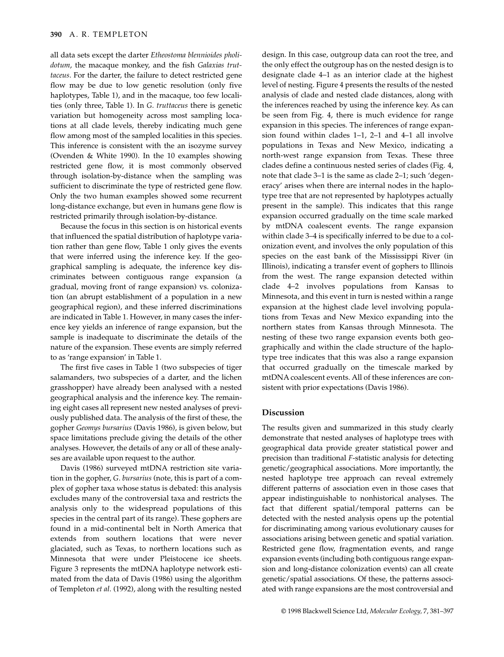all data sets except the darter *Etheostoma blennioides pholidotum*, the macaque monkey, and the fish *Galaxias truttaceus*. For the darter, the failure to detect restricted gene flow may be due to low genetic resolution (only five haplotypes, Table 1), and in the macaque, too few localities (only three, Table 1). In *G*. *truttaceus* there is genetic variation but homogeneity across most sampling locations at all clade levels, thereby indicating much gene flow among most of the sampled localities in this species. This inference is consistent with the an isozyme survey (Ovenden & White 1990). In the 10 examples showing restricted gene flow, it is most commonly observed through isolation-by-distance when the sampling was sufficient to discriminate the type of restricted gene flow. Only the two human examples showed some recurrent long-distance exchange, but even in humans gene flow is restricted primarily through isolation-by-distance.

Because the focus in this section is on historical events that influenced the spatial distribution of haplotype variation rather than gene flow, Table 1 only gives the events that were inferred using the inference key. If the geographical sampling is adequate, the inference key discriminates between contiguous range expansion (a gradual, moving front of range expansion) vs. colonization (an abrupt establishment of a population in a new geographical region), and these inferred discriminations are indicated in Table 1. However, in many cases the inference key yields an inference of range expansion, but the sample is inadequate to discriminate the details of the nature of the expansion. These events are simply referred to as 'range expansion' in Table 1.

The first five cases in Table 1 (two subspecies of tiger salamanders, two subspecies of a darter, and the lichen grasshopper) have already been analysed with a nested geographical analysis and the inference key. The remaining eight cases all represent new nested analyses of previously published data. The analysis of the first of these, the gopher *Geomys bursarius* (Davis 1986), is given below, but space limitations preclude giving the details of the other analyses. However, the details of any or all of these analyses are available upon request to the author.

Davis (1986) surveyed mtDNA restriction site variation in the gopher, *G*. *bursarius* (note, this is part of a complex of gopher taxa whose status is debated: this analysis excludes many of the controversial taxa and restricts the analysis only to the widespread populations of this species in the central part of its range). These gophers are found in a mid-continental belt in North America that extends from southern locations that were never glaciated, such as Texas, to northern locations such as Minnesota that were under Pleistocene ice sheets. Figure 3 represents the mtDNA haplotype network estimated from the data of Davis (1986) using the algorithm of Templeton *et al*. (1992), along with the resulting nested design. In this case, outgroup data can root the tree, and the only effect the outgroup has on the nested design is to designate clade 4–1 as an interior clade at the highest level of nesting. Figure 4 presents the results of the nested analysis of clade and nested clade distances, along with the inferences reached by using the inference key. As can be seen from Fig. 4, there is much evidence for range expansion in this species. The inferences of range expansion found within clades 1–1, 2–1 and 4–1 all involve populations in Texas and New Mexico, indicating a north-west range expansion from Texas. These three clades define a continuous nested series of clades (Fig. 4, note that clade 3–1 is the same as clade 2–1; such 'degeneracy' arises when there are internal nodes in the haplotype tree that are not represented by haplotypes actually present in the sample). This indicates that this range expansion occurred gradually on the time scale marked by mtDNA coalescent events. The range expansion within clade 3–4 is specifically inferred to be due to a colonization event, and involves the only population of this species on the east bank of the Mississippi River (in Illinois), indicating a transfer event of gophers to Illinois from the west. The range expansion detected within clade 4–2 involves populations from Kansas to Minnesota, and this event in turn is nested within a range expansion at the highest clade level involving populations from Texas and New Mexico expanding into the northern states from Kansas through Minnesota. The nesting of these two range expansion events both geographically and within the clade structure of the haplotype tree indicates that this was also a range expansion that occurred gradually on the timescale marked by mtDNA coalescent events. All of these inferences are consistent with prior expectations (Davis 1986).

#### **Discussion**

The results given and summarized in this study clearly demonstrate that nested analyses of haplotype trees with geographical data provide greater statistical power and precision than traditional *F*-statistic analysis for detecting genetic/geographical associations. More importantly, the nested haplotype tree approach can reveal extremely different patterns of association even in those cases that appear indistinguishable to nonhistorical analyses. The fact that different spatial/temporal patterns can be detected with the nested analysis opens up the potential for discriminating among various evolutionary causes for associations arising between genetic and spatial variation. Restricted gene flow, fragmentation events, and range expansion events (including both contiguous range expansion and long-distance colonization events) can all create genetic/spatial associations. Of these, the patterns associated with range expansions are the most controversial and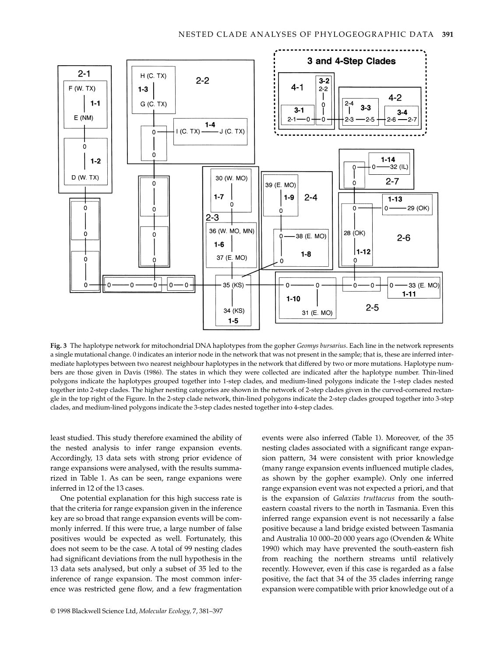

**Fig. 3** The haplotype network for mitochondrial DNA haplotypes from the gopher *Geomys bursarius*. Each line in the network represents a single mutational change. 0 indicates an interior node in the network that was not present in the sample; that is, these are inferred intermediate haplotypes between two nearest neighbour haplotypes in the network that differed by two or more mutations. Haplotype numbers are those given in Davis (1986). The states in which they were collected are indicated after the haplotype number. Thin-lined polygons indicate the haplotypes grouped together into 1-step clades, and medium-lined polygons indicate the 1-step clades nested together into 2-step clades. The higher nesting categories are shown in the network of 2-step clades given in the curved-cornered rectangle in the top right of the Figure. In the 2-step clade network, thin-lined polygons indicate the 2-step clades grouped together into 3-step clades, and medium-lined polygons indicate the 3-step clades nested together into 4-step clades.

least studied. This study therefore examined the ability of the nested analysis to infer range expansion events. Accordingly, 13 data sets with strong prior evidence of range expansions were analysed, with the results summarized in Table 1. As can be seen, range expanions were inferred in 12 of the 13 cases.

One potential explanation for this high success rate is that the criteria for range expansion given in the inference key are so broad that range expansion events will be commonly inferred. If this were true, a large number of false positives would be expected as well. Fortunately, this does not seem to be the case. A total of 99 nesting clades had significant deviations from the null hypothesis in the 13 data sets analysed, but only a subset of 35 led to the inference of range expansion. The most common inference was restricted gene flow, and a few fragmentation sion pattern, 34 were consistent with prior knowledge (many range expansion events influenced mutiple clades, as shown by the gopher example). Only one inferred range expansion event was not expected a priori, and that is the expansion of *Galaxias truttaceus* from the southeastern coastal rivers to the north in Tasmania. Even this inferred range expansion event is not necessarily a false positive because a land bridge existed between Tasmania and Australia 10 000–20 000 years ago (Ovenden & White 1990) which may have prevented the south-eastern fish from reaching the northern streams until relatively recently. However, even if this case is regarded as a false positive, the fact that 34 of the 35 clades inferring range expansion were compatible with prior knowledge out of a

events were also inferred (Table 1). Moreover, of the 35 nesting clades associated with a significant range expan-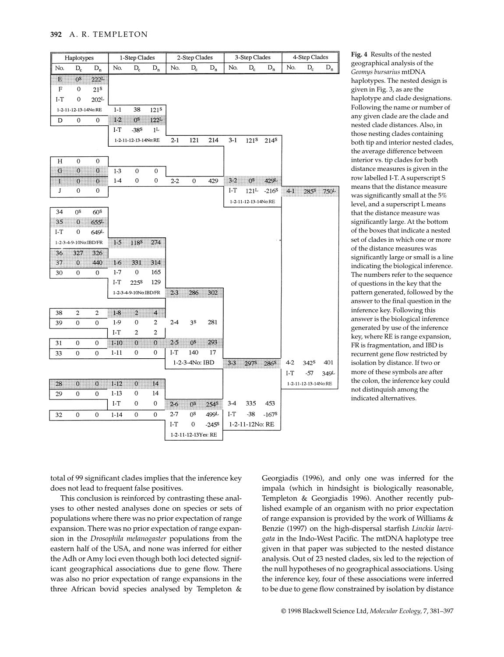#### **392** A. R. TEMPLETON

| Haplotypes                                       |                       |                       |                      | 1-Step Clades                        |                  |               | 2-Step Clades                    |               |       | 3-Step Clades        |                         |       | 4-Step Clades        |                         |
|--------------------------------------------------|-----------------------|-----------------------|----------------------|--------------------------------------|------------------|---------------|----------------------------------|---------------|-------|----------------------|-------------------------|-------|----------------------|-------------------------|
| No.                                              | $\mathbf{D}_{\rm c}$  | $\mathbf{D_{n}}$      | No.                  | $\mathbf{D_{c}}$                     | $D_n$            | No.           | $\mathbf{D}_{\rm c}$             | $D_n$         | No.   | $\mathbf{D}_{\rm c}$ | $\mathsf{D}_\mathsf{n}$ | No.   | $\mathbf{D}_{\rm c}$ | $\mathsf{D}_\mathsf{n}$ |
| $\mathbf{E}% _{t}\left  \mathbf{1}\right\rangle$ | OS.                   | 222 <sup>h</sup>      |                      |                                      |                  |               |                                  |               |       |                      |                         |       |                      |                         |
| $\mathbf F$                                      | 0                     | 21 <sup>S</sup>       |                      |                                      |                  |               |                                  |               |       |                      |                         |       |                      |                         |
| $I-T$                                            | 0                     | $202^{\rm L}$         |                      |                                      |                  |               |                                  |               |       |                      |                         |       |                      |                         |
|                                                  | 1-2-11-12-13-14No:RE  |                       | $1-1$                | 38                                   | 121 <sup>s</sup> |               |                                  |               |       |                      |                         |       |                      |                         |
| D                                                | $\mathbf 0$           | $\boldsymbol{0}$      | $1-2$                | Q5                                   | 122 <sup>1</sup> |               |                                  |               |       |                      |                         |       |                      |                         |
|                                                  |                       |                       | $I-T$                | $-38s$                               | 1 <sub>L</sub>   |               |                                  |               |       |                      |                         |       |                      |                         |
|                                                  |                       |                       |                      | 1-2-11-12-13-14No:RE                 |                  | $2 - 1$       | 121                              | 214           | $3-1$ | 121 <sup>s</sup>     | 214 <sup>s</sup>        |       |                      |                         |
|                                                  |                       |                       |                      |                                      |                  |               |                                  |               |       |                      |                         |       |                      |                         |
| Н                                                | $\boldsymbol{0}$      | $\boldsymbol{0}$      |                      |                                      |                  |               |                                  |               |       |                      |                         |       |                      |                         |
| Ġ                                                | 0                     | 0                     | $1-3$                | $\boldsymbol{0}$<br>$\boldsymbol{0}$ | 0                |               |                                  |               | 3-2   | 0 <sup>5</sup>       | 4291.                   |       |                      |                         |
| Ţ<br>J                                           | 0<br>$\boldsymbol{0}$ | 0<br>0                | $1-4$                |                                      | 0                | $2 - 2$       | $\boldsymbol{0}$                 | 429           | $I-T$ | $121^L$              | $-216s$                 | 41    |                      |                         |
|                                                  |                       |                       |                      |                                      |                  |               |                                  |               |       | 1-2-11-12-13-14No:RE |                         |       | 2855                 | 750L                    |
| 34                                               | 0 <sup>S</sup>        | 60 <sup>s</sup>       |                      |                                      |                  |               |                                  |               |       |                      |                         |       |                      |                         |
| 35                                               | $\mathbf 0$           | $655 -$               |                      |                                      |                  |               |                                  |               |       |                      |                         |       |                      |                         |
| $\operatorname{I-T}$                             | 0                     | 649L                  |                      |                                      |                  |               |                                  |               |       |                      |                         |       |                      |                         |
|                                                  |                       | 1-2-3-4-9-10No:IBD/FR | $1-5$                | 118 <sup>s</sup>                     | 274              |               |                                  |               |       |                      |                         |       |                      |                         |
| 36                                               | 327                   | 326                   |                      |                                      |                  |               |                                  |               |       |                      |                         |       |                      |                         |
| 37                                               | 0                     | 440                   | 16                   | 331                                  | 314              |               |                                  |               |       |                      |                         |       |                      |                         |
| 30                                               | $\mathbf 0$           | $\mathbf{0}$          | $1-7$                | $\boldsymbol{0}$                     | 165              |               |                                  |               |       |                      |                         |       |                      |                         |
|                                                  |                       |                       | $I-T$                | 225 <sup>s</sup>                     | 129              |               |                                  |               |       |                      |                         |       |                      |                         |
|                                                  |                       |                       |                      | 1-2-3-4-9-10No:IBD/FR                |                  | $2-3$         | 286                              | 302           |       |                      |                         |       |                      |                         |
|                                                  |                       |                       |                      |                                      |                  |               |                                  |               |       |                      |                         |       |                      |                         |
| 38                                               | $\mathbf 2$           | $\overline{c}$        | 1-8                  | $\overline{\mathbf{2}}$              | 4                |               |                                  |               |       |                      |                         |       |                      |                         |
| 39                                               | $\boldsymbol{0}$      | $\boldsymbol{0}$      | $1-9$                | 0                                    | 2                | $2 - 4$       | 3 <sup>s</sup>                   | 281           |       |                      |                         |       |                      |                         |
|                                                  |                       |                       | $I-T$                | $\overline{\mathbf{c}}$              | $\overline{c}$   |               |                                  |               |       |                      |                         |       |                      |                         |
| 31                                               | $\mathbf 0$           | $\mathbf 0$           | $1 - 10$             | 0                                    | 0                | 2-5           | 68                               | 293           |       |                      |                         |       |                      |                         |
| 33                                               | $\overline{0}$        | $\mathbf 0$           | $1 - 11$             | $\boldsymbol{0}$                     | 0                | $I-T$         | 140                              | 17            |       |                      |                         |       |                      |                         |
|                                                  |                       |                       |                      |                                      |                  |               | 1-2-3-4No: IBD                   |               | 33    | 297S                 | 2865                    | $4-2$ | 342 <sup>s</sup>     | 401                     |
|                                                  |                       |                       |                      |                                      |                  |               |                                  |               |       |                      |                         | $I-T$ | $-57$                | 349L                    |
| 28                                               | $\mathbf 0$           | $\mathbf 0$           | $1 - 12$<br>$1 - 13$ | $\mathbf 0$<br>$\boldsymbol{0}$      | 14<br>14         |               |                                  |               |       |                      |                         |       | 1-2-11-12-13-14No:RE |                         |
| 29                                               | 0                     | $\mathbf 0$           | $I-T$                | $\boldsymbol{0}$                     | 0                |               |                                  | $254^{\circ}$ | $3-4$ | 335                  | 453                     |       |                      |                         |
|                                                  |                       |                       |                      |                                      |                  | 26<br>$2 - 7$ | 0 <sup>8</sup><br>0 <sup>S</sup> | 499L          | $I-T$ | $-38$                | $-167S$                 |       |                      |                         |
| 32                                               | $\boldsymbol{0}$      | $\boldsymbol{0}$      | $1 - 14$             | $\boldsymbol{0}$                     | $\mathbf 0$      | $I-T$         | 0                                | $-245^s$      |       | 1-2-11-12No: RE      |                         |       |                      |                         |
|                                                  |                       |                       |                      |                                      |                  |               | 1-2-11-12-13Yes: RE              |               |       |                      |                         |       |                      |                         |

**Fig. 4** Results of the nested geographical analysis of the *Geomys bursarius* mtDNA haplotypes. The nested design is given in Fig. 3, as are the haplotype and clade designations. Following the name or number of any given clade are the clade and nested clade distances. Also, in those nesting clades containing both tip and interior nested clades, the average difference between interior vs. tip clades for both distance measures is given in the row labelled I-T. A superscript S means that the distance measure was significantly small at the 5% level, and a superscript L means that the distance measure was significantly large. At the bottom of the boxes that indicate a nested set of clades in which one or more of the distance measures was significantly large or small is a line indicating the biological inference. The numbers refer to the sequence of questions in the key that the pattern generated, followed by the answer to the final question in the inference key. Following this answer is the biological inference generated by use of the inference key, where RE is range expansion, FR is fragmentation, and IBD is recurrent gene flow restricted by isolation by distance. If two or more of these symbols are after the colon, the inference key could not distinquish among the indicated alternatives.

total of 99 significant clades implies that the inference key does not lead to frequent false positives.

This conclusion is reinforced by contrasting these analyses to other nested analyses done on species or sets of populations where there was no prior expectation of range expansion. There was no prior expectation of range expansion in the *Drosophila melanogaster* populations from the eastern half of the USA, and none was inferred for either the Adh or Amy loci even though both loci detected significant geographical associations due to gene flow. There was also no prior expectation of range expansions in the three African bovid species analysed by Templeton &

Georgiadis (1996), and only one was inferred for the impala (which in hindsight is biologically reasonable, Templeton & Georgiadis 1996). Another recently published example of an organism with no prior expectation of range expansion is provided by the work of Williams & Benzie (1997) on the high-dispersal starfish *Linckia laevigata* in the Indo-West Pacific. The mtDNA haplotype tree given in that paper was subjected to the nested distance analysis. Out of 23 nested clades, six led to the rejection of the null hypotheses of no geographical associations. Using the inference key, four of these associations were inferred to be due to gene flow constrained by isolation by distance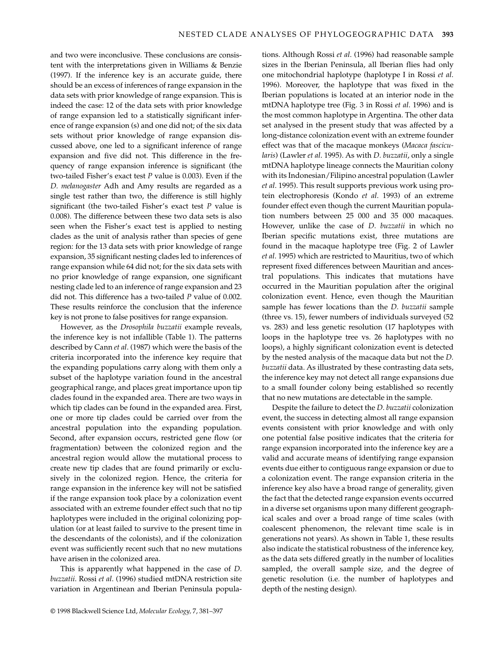and two were inconclusive. These conclusions are consistent with the interpretations given in Williams & Benzie (1997). If the inference key is an accurate guide, there should be an excess of inferences of range expansion in the data sets with prior knowledge of range expansion. This is indeed the case: 12 of the data sets with prior knowledge of range expansion led to a statistically significant inference of range expansion (s) and one did not; of the six data sets without prior knowledge of range expansion discussed above, one led to a significant inference of range expansion and five did not. This difference in the frequency of range expansion inference is significant (the two-tailed Fisher's exact test *P* value is 0.003). Even if the *D. melanogaster* Adh and Amy results are regarded as a single test rather than two, the difference is still highly significant (the two-tailed Fisher's exact test *P* value is 0.008). The difference between these two data sets is also seen when the Fisher's exact test is applied to nesting clades as the unit of analysis rather than species of gene region: for the 13 data sets with prior knowledge of range expansion, 35 significant nesting clades led to inferences of range expansion while 64 did not; for the six data sets with no prior knowledge of range expansion, one significant nesting clade led to an inference of range expansion and 23 did not. This difference has a two-tailed *P* value of 0.002. These results reinforce the conclusion that the inference key is not prone to false positives for range expansion.

However, as the *Drosophila buzzatii* example reveals, the inference key is not infallible (Table 1). The patterns described by Cann *et al*. (1987) which were the basis of the criteria incorporated into the inference key require that the expanding populations carry along with them only a subset of the haplotype variation found in the ancestral geographical range, and places great importance upon tip clades found in the expanded area. There are two ways in which tip clades can be found in the expanded area. First, one or more tip clades could be carried over from the ancestral population into the expanding population. Second, after expansion occurs, restricted gene flow (or fragmentation) between the colonized region and the ancestral region would allow the mutational process to create new tip clades that are found primarily or exclusively in the colonized region. Hence, the criteria for range expansion in the inference key will not be satisfied if the range expansion took place by a colonization event associated with an extreme founder effect such that no tip haplotypes were included in the original colonizing population (or at least failed to survive to the present time in the descendants of the colonists), and if the colonization event was sufficiently recent such that no new mutations have arisen in the colonized area.

This is apparently what happened in the case of *D. buzzatii*. Rossi *et al*. (1996) studied mtDNA restriction site variation in Argentinean and Iberian Peninsula popula-

tions. Although Rossi *et al*. (1996) had reasonable sample sizes in the Iberian Peninsula, all Iberian flies had only one mitochondrial haplotype (haplotype I in Rossi *et al*. 1996). Moreover, the haplotype that was fixed in the Iberian populations is located at an interior node in the mtDNA haplotype tree (Fig. 3 in Rossi *et al*. 1996) and is the most common haplotype in Argentina. The other data set analysed in the present study that was affected by a long-distance colonization event with an extreme founder effect was that of the macaque monkeys (*Macaca fascicularis*) (Lawler *et al*. 1995). As with *D. buzzatii*, only a single mtDNA haplotype lineage connects the Mauritian colony with its Indonesian/Filipino ancestral population (Lawler *et al*. 1995). This result supports previous work using protein electrophoresis (Kondo *et al*. 1993) of an extreme founder effect even though the current Mauritian population numbers between 25 000 and 35 000 macaques. However, unlike the case of *D. buzzatii* in which no Iberian specific mutations exist, three mutations are found in the macaque haplotype tree (Fig. 2 of Lawler *et al*. 1995) which are restricted to Mauritius, two of which represent fixed differences between Mauritian and ancestral populations. This indicates that mutations have occurred in the Mauritian population after the original colonization event. Hence, even though the Mauritian sample has fewer locations than the *D. buzzatii* sample (three vs. 15), fewer numbers of individuals surveyed (52 vs. 283) and less genetic resolution (17 haplotypes with loops in the haplotype tree vs. 26 haplotypes with no loops), a highly significant colonization event is detected by the nested analysis of the macaque data but not the *D. buzzatii* data. As illustrated by these contrasting data sets, the inference key may not detect all range expansions due to a small founder colony being established so recently that no new mutations are detectable in the sample.

Despite the failure to detect the *D. buzzatii* colonization event, the success in detecting almost all range expansion events consistent with prior knowledge and with only one potential false positive indicates that the criteria for range expansion incorporated into the inference key are a valid and accurate means of identifying range expansion events due either to contiguous range expansion or due to a colonization event. The range expansion criteria in the inference key also have a broad range of generality, given the fact that the detected range expansion events occurred in a diverse set organisms upon many different geographical scales and over a broad range of time scales (with coalescent phenomenon, the relevant time scale is in generations not years). As shown in Table 1, these results also indicate the statistical robustness of the inference key, as the data sets differed greatly in the number of localities sampled, the overall sample size, and the degree of genetic resolution (i.e. the number of haplotypes and depth of the nesting design).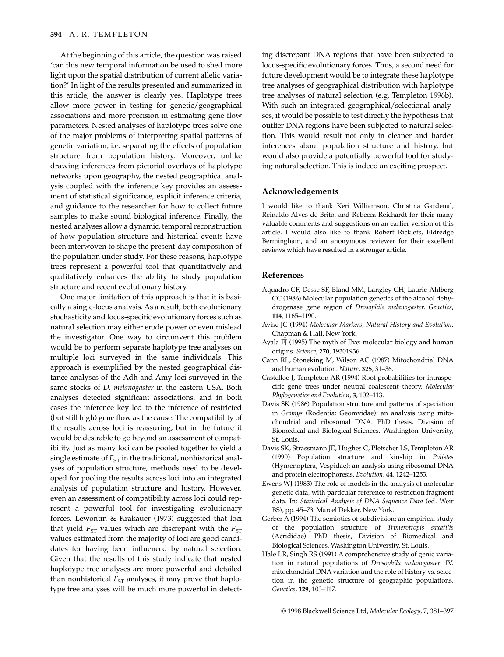#### **394** A. R. TEMPLETON

At the beginning of this article, the question was raised 'can this new temporal information be used to shed more light upon the spatial distribution of current allelic variation?' In light of the results presented and summarized in this article, the answer is clearly yes. Haplotype trees allow more power in testing for genetic/geographical associations and more precision in estimating gene flow parameters. Nested analyses of haplotype trees solve one of the major problems of interpreting spatial patterns of genetic variation, i.e. separating the effects of population structure from population history. Moreover, unlike drawing inferences from pictorial overlays of haplotype networks upon geography, the nested geographical analysis coupled with the inference key provides an assessment of statistical significance, explicit inference criteria, and guidance to the researcher for how to collect future samples to make sound biological inference. Finally, the nested analyses allow a dynamic, temporal reconstruction of how population structure and historical events have been interwoven to shape the present-day composition of the population under study. For these reasons, haplotype trees represent a powerful tool that quantitatively and qualitatively enhances the ability to study population structure and recent evolutionary history.

One major limitation of this approach is that it is basically a single-locus analysis. As a result, both evolutionary stochasticity and locus-specific evolutionary forces such as natural selection may either erode power or even mislead the investigator. One way to circumvent this problem would be to perform separate haplotype tree analyses on multiple loci surveyed in the same individuals. This approach is exemplified by the nested geographical distance analyses of the Adh and Amy loci surveyed in the same stocks of *D. melanogaster* in the eastern USA. Both analyses detected significant associations, and in both cases the inference key led to the inference of restricted (but still high) gene flow as the cause. The compatibility of the results across loci is reassuring, but in the future it would be desirable to go beyond an assessment of compatibility. Just as many loci can be pooled together to yield a single estimate of  $F_{ST}$  in the traditional, nonhistorical analyses of population structure, methods need to be developed for pooling the results across loci into an integrated analysis of population structure and history. However, even an assessment of compatibility across loci could represent a powerful tool for investigating evolutionary forces. Lewontin & Krakauer (1973) suggested that loci that yield  $F_{ST}$  values which are discrepant with the  $F_{ST}$ values estimated from the majority of loci are good candidates for having been influenced by natural selection. Given that the results of this study indicate that nested haplotype tree analyses are more powerful and detailed than nonhistorical  $F_{ST}$  analyses, it may prove that haplotype tree analyses will be much more powerful in detecting discrepant DNA regions that have been subjected to locus-specific evolutionary forces. Thus, a second need for future development would be to integrate these haplotype tree analyses of geographical distribution with haplotype tree analyses of natural selection (e.g. Templeton 1996b). With such an integrated geographical/selectional analyses, it would be possible to test directly the hypothesis that outlier DNA regions have been subjected to natural selection. This would result not only in cleaner and harder inferences about population structure and history, but would also provide a potentially powerful tool for studying natural selection. This is indeed an exciting prospect.

#### **Acknowledgements**

I would like to thank Keri Williamson, Christina Gardenal, Reinaldo Alves de Brito, and Rebecca Reichardt for their many valuable comments and suggestions on an earlier version of this article. I would also like to thank Robert Ricklefs, Eldredge Bermingham, and an anonymous reviewer for their excellent reviews which have resulted in a stronger article.

#### **References**

- Aquadro CF, Desse SF, Bland MM, Langley CH, Laurie-Ahlberg CC (1986) Molecular population genetics of the alcohol dehydrogenase gene region of *Drosophila melanogaster. Genetics*, **114**, 1165–1190.
- Avise JC (1994) *Molecular Markers, Natural History and Evolution*. Chapman & Hall, New York.
- Ayala FJ (1995) The myth of Eve: molecular biology and human origins. *Science*, **270**, 19301936.
- Cann RL, Stoneking M, Wilson AC (1987) Mitochondrial DNA and human evolution. *Nature*, **325**, 31–36.
- Castelloe J, Templeton AR (1994) Root probabilities for intraspecific gene trees under neutral coalescent theory. *Molecular Phylogenetics and Evolution*, **3**, 102–113.
- Davis SK (1986) Population structure and patterns of speciation in *Geomys* (Rodentia: Geomyidae): an analysis using mitochondrial and ribosomal DNA. PhD thesis, Division of Biomedical and Biological Sciences. Washington University, St. Louis.
- Davis SK, Strassmann JE, Hughes C, Pletscher LS, Templeton AR (1990) Population structure and kinship in *Polistes* (Hymenoptera, Vespidae): an analysis using ribosomal DNA and protein electrophoresis. *Evolution*, **44**, 1242–1253.
- Ewens WJ (1983) The role of models in the analysis of molecular genetic data, with particular reference to restriction fragment data. In: *Statistical Analysis of DNA Sequence Data* (ed. Weir BS), pp. 45–73. Marcel Dekker, New York.
- Gerber A (1994) The semiotics of subdivision: an empirical study of the population structure of *Trimerotropis saxatilis* (Acrididae). PhD thesis, Division of Biomedical and Biological Sciences. Washington University, St. Louis.
- Hale LR, Singh RS (1991) A comprehensive study of genic variation in natural populations of *Drosophila melanogaster*. IV. mitochondrial DNA variation and the role of history vs. selection in the genetic structure of geographic populations. *Genetics*, **129**, 103–117.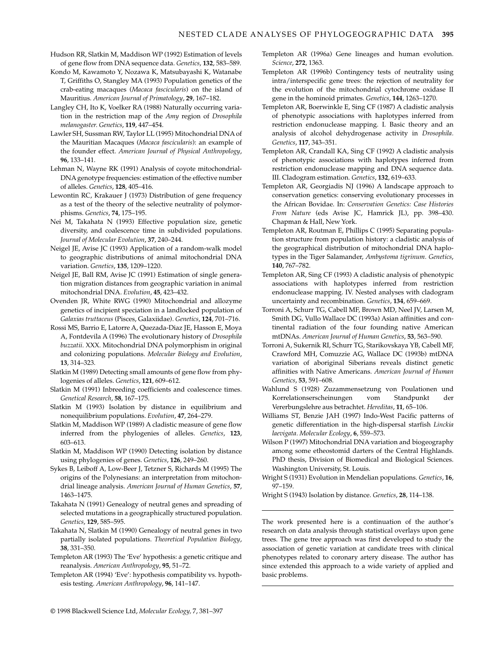- Hudson RR, Slatkin M, Maddison WP (1992) Estimation of levels of gene flow from DNA sequence data. *Genetics*, **132**, 583–589.
- Kondo M, Kawamoto Y, Nozawa K, Matsubayashi K, Watanabe T, Griffiths O, Stangley MA (1993) Population genetics of the crab-eating macaques (*Macaca fascicularis*) on the island of Mauritius. *American Journal of Primatology*, **29**, 167–182.
- Langley CH, Ito K, Voelker RA (1988) Naturally occurring variation in the restriction map of the *Amy* region of *Drosophila melanogaster. Genetics*, **119**, 447–454.
- Lawler SH, Sussman RW, Taylor LL (1995) Mitochondrial DNA of the Mauritian Macaques (*Macaca fascicularis*): an example of the founder effect. *American Journal of Physical Anthropology*, **96**, 133–141.
- Lehman N, Wayne RK (1991) Analysis of coyote mitochondrial-DNA genotype frequencies: estimation of the effective number of alleles. *Genetics*, **128**, 405–416.
- Lewontin RC, Krakauer J (1973) Distribution of gene frequency as a test of the theory of the selective neutrality of polymorphisms. *Genetics*, **74**, 175–195.
- Nei M, Takahata N (1993) Effective population size, genetic diversity, and coalescence time in subdivided populations. *Journal of Molecular Evolution*, **37**, 240–244.
- Neigel JE, Avise JC (1993) Application of a random-walk model to geographic distributions of animal mitochondrial DNA variation. *Genetics*, **135**, 1209–1220.
- Neigel JE, Ball RM, Avise JC (1991) Estimation of single generation migration distances from geographic variation in animal mitochondrial DNA. *Evolution*, **45**, 423–432.
- Ovenden JR, White RWG (1990) Mitochondrial and allozyme genetics of incipient speciation in a landlocked population of *Galaxias truttaceus* (Pisces, Galaxiidae). *Genetics*, **124**, 701–716.
- Rossi MS, Barrio E, Latorre A, Quezada-Diaz JE, Hasson E, Moya A, Fontdevila A (1996) The evolutionary history of *Drosophila buzzatii*. XXX. Mitochondrial DNA polymorphism in original and colonizing populations. *Molecular Biology and Evolution*, **13**, 314–323.
- Slatkin M (1989) Detecting small amounts of gene flow from phylogenies of alleles. *Genetics*, **121**, 609–612.
- Slatkin M (1991) Inbreeding coefficients and coalescence times. *Genetical Research*, **58**, 167–175.
- Slatkin M (1993) Isolation by distance in equilibrium and nonequilibrium populations. *Evolution*, **47**, 264–279.
- Slatkin M, Maddison WP (1989) A cladistic measure of gene flow inferred from the phylogenies of alleles. *Genetics*, **123**, 603–613.
- Slatkin M, Maddison WP (1990) Detecting isolation by distance using phylogenies of genes. *Genetics*, **126**, 249–260.
- Sykes B, Leiboff A, Low-Beer J, Tetzner S, Richards M (1995) The origins of the Polynesians: an interpretation from mitochondrial lineage analysis. *American Journal of Human Genetics*, **57**, 1463–1475.
- Takahata N (1991) Genealogy of neutral genes and spreading of selected mutations in a geographically structured population. *Genetics*, **129**, 585–595.
- Takahata N, Slatkin M (1990) Genealogy of neutral genes in two partially isolated populations. *Theoretical Population Biology*, **38**, 331–350.
- Templeton AR (1993) The 'Eve' hypothesis: a genetic critique and reanalysis. *American Anthropology*, **95**, 51–72.
- Templeton AR (1994) 'Eve': hypothesis compatibility vs. hypothesis testing. *American Anthropology*, **96**, 141–147.
- Templeton AR (1996a) Gene lineages and human evolution. *Science*, **272**, 1363.
- Templeton AR (1996b) Contingency tests of neutrality using intra/interspecific gene trees: the rejection of neutrality for the evolution of the mitochondrial cytochrome oxidase II gene in the hominoid primates. *Genetics*, **144**, 1263–1270.
- Templeton AR, Boerwinkle E, Sing CF (1987) A cladistic analysis of phenotypic associations with haplotypes inferred from restriction endonuclease mapping. I. Basic theory and an analysis of alcohol dehydrogenase activity in *Drosophila. Genetics*, **117**, 343–351.
- Templeton AR, Crandall KA, Sing CF (1992) A cladistic analysis of phenotypic associations with haplotypes inferred from restriction endonuclease mapping and DNA sequence data. III. Cladogram estimation. *Genetics*, **132**, 619–633.
- Templeton AR, Georgiadis NJ (1996) A landscape approach to conservation genetics: conserving evolutionary processes in the African Bovidae. In: *Conservation Genetics: Case Histories From Nature* (eds Avise JC, Hamrick JL), pp. 398–430. Chapman & Hall, New York.
- Templeton AR, Routman E, Phillips C (1995) Separating population structure from population history: a cladistic analysis of the geographical distribution of mitochondrial DNA haplotypes in the Tiger Salamander, *Ambystoma tigrinum. Genetics*, **140**, 767–782.
- Templeton AR, Sing CF (1993) A cladistic analysis of phenotypic associations with haplotypes inferred from restriction endonuclease mapping. IV. Nested analyses with cladogram uncertainty and recombination. *Genetics*, **134**, 659–669.
- Torroni A, Schurr TG, Cabell MF, Brown MD, Neel JV, Larsen M, Smith DG, Vullo Wallace DC (1993a) Asian affinities and continental radiation of the four founding native American mtDNAs. *American Journal of Human Genetics*, **53**, 563–590.
- Torroni A, Sukernik RI, Schurr TG, Starikovskaya YB, Cabell MF, Crawford MH, Comuzzie AG, Wallace DC (1993b) mtDNA variation of aboriginal Siberians reveals distinct genetic affinities with Native Americans. *American Journal of Human Genetics*, **53**, 591–608.
- Wahlund S (1928) Zuzammensetzung von Poulationen und Korrelationserscheinungen vom Standpunkt der Vererbungslehre aus betrachtet. *Hereditas*, **11**, 65–106.
- Williams ST, Benzie JAH (1997) Indo-West Pacific patterns of genetic differentiation in the high-dispersal starfish *Linckia laevigata. Molecular Ecology*, **6**, 559–573.
- Wilson P (1997) Mitochondrial DNA variation and biogeography among some etheostomid darters of the Central Highlands. PhD thesis, Division of Biomedical and Biological Sciences. Washington University, St. Louis.
- Wright S (1931) Evolution in Mendelian populations. *Genetics*, **16**, 97–159.
- Wright S (1943) Isolation by distance. *Genetics*, **28**, 114–138.

The work presented here is a continuation of the author's research on data analysis through statistical overlays upon gene trees. The gene tree approach was first developed to study the association of genetic variation at candidate trees with clinical phenotypes related to coronary artery disease. The author has since extended this approach to a wide variety of applied and basic problems.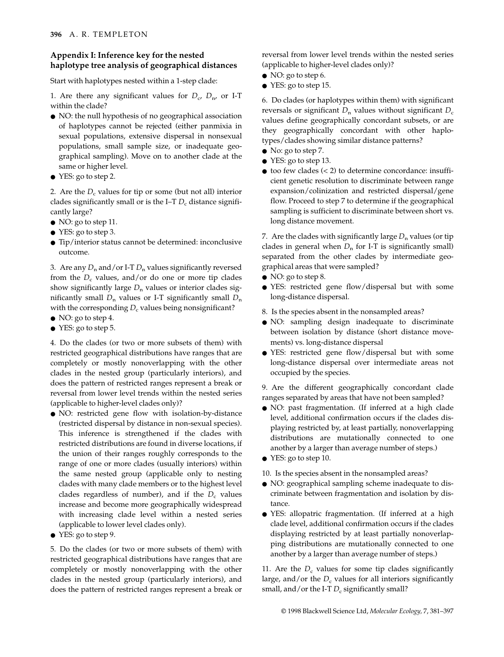## **Appendix I: Inference key for the nested haplotype tree analysis of geographical distances**

Start with haplotypes nested within a 1-step clade:

1. Are there any significant values for  $D_c$ ,  $D_n$ , or I-T within the clade?

- NO: the null hypothesis of no geographical association of haplotypes cannot be rejected (either panmixia in sexual populations, extensive dispersal in nonsexual populations, small sample size, or inadequate geographical sampling). Move on to another clade at the same or higher level.
- YES: go to step 2.

2. Are the  $D_c$  values for tip or some (but not all) interior clades significantly small or is the I–T  $D_c$  distance significantly large?

- NO: go to step 11.
- YES: go to step 3.
- Tip/interior status cannot be determined: inconclusive outcome.

3. Are any  $D_n$  and/or I-T  $D_n$  values significantly reversed from the  $D_c$  values, and/or do one or more tip clades show significantly large  $D_n$  values or interior clades significantly small  $D_n$  values or I-T significantly small  $D_n$ with the corresponding  $D_c$  values being nonsignificant?

- NO: go to step 4.
- YES: go to step 5.

4. Do the clades (or two or more subsets of them) with restricted geographical distributions have ranges that are completely or mostly nonoverlapping with the other clades in the nested group (particularly interiors), and does the pattern of restricted ranges represent a break or reversal from lower level trends within the nested series (applicable to higher-level clades only)?

- NO: restricted gene flow with isolation-by-distance (restricted dispersal by distance in non-sexual species). This inference is strengthened if the clades with restricted distributions are found in diverse locations, if the union of their ranges roughly corresponds to the range of one or more clades (usually interiors) within the same nested group (applicable only to nesting clades with many clade members or to the highest level clades regardless of number), and if the  $D_c$  values increase and become more geographically widespread with increasing clade level within a nested series (applicable to lower level clades only).
- YES: go to step 9.

5. Do the clades (or two or more subsets of them) with restricted geographical distributions have ranges that are completely or mostly nonoverlapping with the other clades in the nested group (particularly interiors), and does the pattern of restricted ranges represent a break or

reversal from lower level trends within the nested series (applicable to higher-level clades only)?

- NO: go to step 6.
- YES: go to step 15.

6. Do clades (or haplotypes within them) with significant reversals or significant  $D_n$  values without significant  $D_c$ values define geographically concordant subsets, or are they geographically concordant with other haplotypes/clades showing similar distance patterns?

- No: go to step 7.
- YES: go to step 13.
- too few clades (*<* 2) to determine concordance: insufficient genetic resolution to discriminate between range expansion/colinization and restricted dispersal/gene flow. Proceed to step 7 to determine if the geographical sampling is sufficient to discriminate between short vs. long distance movement.

7. Are the clades with significantly large  $D_n$  values (or tip clades in general when  $D_n$  for I-T is significantly small) separated from the other clades by intermediate geographical areas that were sampled?

- NO: go to step 8.
- YES: restricted gene flow/dispersal but with some long-distance dispersal.
- 8. Is the species absent in the nonsampled areas?
- NO: sampling design inadequate to discriminate between isolation by distance (short distance movements) vs. long-distance dispersal
- YES: restricted gene flow/dispersal but with some long-distance dispersal over intermediate areas not occupied by the species.

9. Are the different geographically concordant clade ranges separated by areas that have not been sampled?

- NO: past fragmentation. (If inferred at a high clade level, additional confirmation occurs if the clades displaying restricted by, at least partially, nonoverlapping distributions are mutationally connected to one another by a larger than average number of steps.)
- YES: go to step 10.

10. Is the species absent in the nonsampled areas?

- NO: geographical sampling scheme inadequate to discriminate between fragmentation and isolation by distance.
- YES: allopatric fragmentation. (If inferred at a high clade level, additional confirmation occurs if the clades displaying restricted by at least partially nonoverlapping distributions are mutationally connected to one another by a larger than average number of steps.)

11. Are the  $D_c$  values for some tip clades significantly large, and/or the  $D_c$  values for all interiors significantly small, and/or the I-T  $D_c$  significantly small?